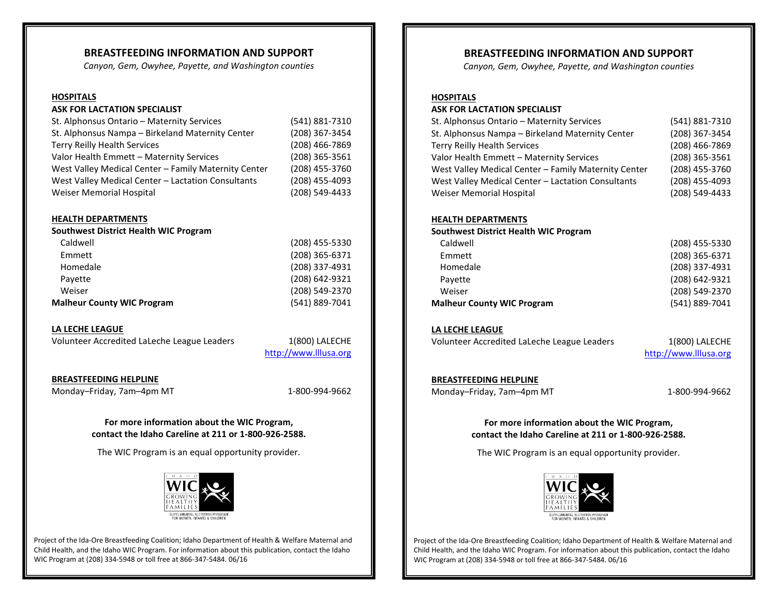### **BREASTFEEDING INFORMATION AND SUPPORT**

*Canyon, Gem, Owyhee, Payette, and Washington counties*

#### **HOSPITALS**

#### **ASK FOR LACTATION SPECIALIST**

| St. Alphonsus Ontario - Maternity Services           | (541) 881-7310 |
|------------------------------------------------------|----------------|
| St. Alphonsus Nampa - Birkeland Maternity Center     | (208) 367-3454 |
| <b>Terry Reilly Health Services</b>                  | (208) 466-7869 |
| Valor Health Emmett - Maternity Services             | (208) 365-3561 |
| West Valley Medical Center - Family Maternity Center | (208) 455-3760 |
| West Valley Medical Center - Lactation Consultants   | (208) 455-4093 |
| Weiser Memorial Hospital                             | (208) 549-4433 |

#### **HEALTH DEPARTMENTS**

| (208) 455-5330 |
|----------------|
| (208) 365-6371 |
| (208) 337-4931 |
| (208) 642-9321 |
| (208) 549-2370 |
| (541) 889-7041 |
|                |

#### **LA LECHE LEAGUE**

Volunteer Accredited LaLeche League Leaders 1(800) LALECHE

[http://www.lllusa.org](http://www.lllusa.org/)

#### **BREASTFEEDING HELPLINE**

Monday–Friday, 7am–4pm MT 1-800-994-9662

**For more information about the WIC Program, contact the Idaho Careline at 211 or 1-800-926-2588.**

The WIC Program is an equal opportunity provider.



Project of the Ida-Ore Breastfeeding Coalition; Idaho Department of Health & Welfare Maternal and Child Health, and the Idaho WIC Program. For information about this publication, contact the Idaho WIC Program at (208) 334-5948 or toll free at 866-347-5484. 06/16

### **BREASTFEEDING INFORMATION AND SUPPORT**

*Canyon, Gem, Owyhee, Payette, and Washington counties*

#### **HOSPITALS**

#### **ASK FOR LACTATION SPECIALIST**

| St. Alphonsus Ontario - Maternity Services           | (541) 881-7310 |
|------------------------------------------------------|----------------|
| St. Alphonsus Nampa - Birkeland Maternity Center     | (208) 367-3454 |
| <b>Terry Reilly Health Services</b>                  | (208) 466-7869 |
| Valor Health Emmett - Maternity Services             | (208) 365-3561 |
| West Valley Medical Center - Family Maternity Center | (208) 455-3760 |
| West Valley Medical Center - Lactation Consultants   | (208) 455-4093 |
| Weiser Memorial Hospital                             | (208) 549-4433 |

#### **HEALTH DEPARTMENTS**

**Southwest District Health WIC Program**

| Caldwell                          | (208) 455-5330 |
|-----------------------------------|----------------|
| Emmett                            | (208) 365-6371 |
| Homedale                          | (208) 337-4931 |
| Payette                           | (208) 642-9321 |
| Weiser                            | (208) 549-2370 |
| <b>Malheur County WIC Program</b> | (541) 889-7041 |

#### **LA LECHE LEAGUE**

Volunteer Accredited LaLeche League Leaders 1(800) LALECHE

[http://www.lllusa.org](http://www.lllusa.org/)

**BREASTFEEDING HELPLINE** Monday–Friday, 7am–4pm MT 1-800-994-9662

**For more information about the WIC Program, contact the Idaho Careline at 211 or 1-800-926-2588.**

The WIC Program is an equal opportunity provider.



Project of the Ida-Ore Breastfeeding Coalition; Idaho Department of Health & Welfare Maternal and Child Health, and the Idaho WIC Program. For information about this publication, contact the Idaho WIC Program at (208) 334-5948 or toll free at 866-347-5484. 06/16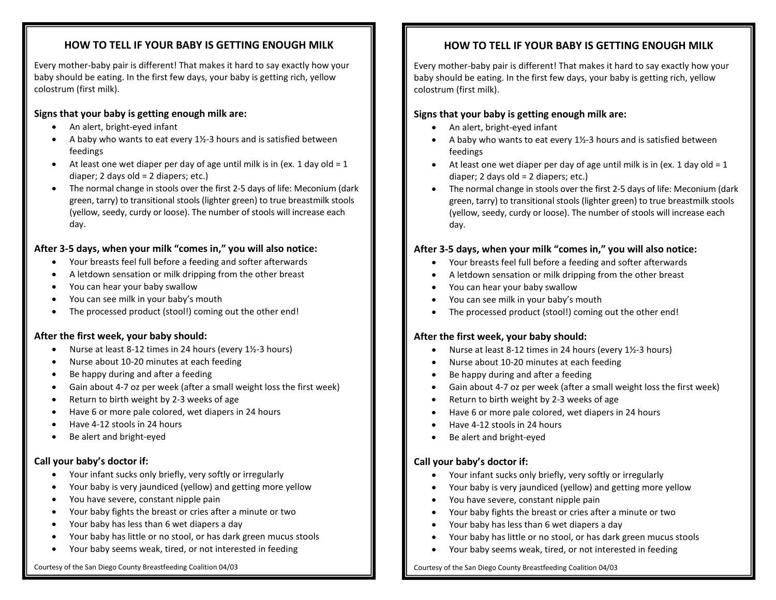## **HOW TO TELL IF YOUR BABY IS GETTING ENOUGH MILK**

Every mother-baby pair is different! That makes it hard to say exactly how your baby should be eating. In the first few days, your baby is getting rich, yellow colostrum (first milk).

## **Signs that your baby is getting enough milk are:**

- An alert, bright-eyed infant
- An alert, bright-eyed mant<br>• A baby who wants to eat every 1½-3 hours and is satisfied between feedings
- **Southeastern Health District- WIC Program** diaper; 2 days old = 2 diapers; etc.) • At least one wet diaper per day of age until milk is in (ex. 1 day old  $= 1$ )
- The normal change in stools over the first 2-5 days of life: Meconium (dark green, tarry) to transitional stools (lighter green) to true breastmilk stools (yellow, seedy, curdy or loose). The number of stools will increase each day. day.

## After 3-5 days, when your milk "comes in," you will also notice:

- Pocatello (208) 852-0478 852-0478 852-0478 852-0478 852-0478 852-0478 852-0478 852-0478 852-0478 852-0478 852-• Your breasts feel full before a feeding and softer afterwards
- A letdown sensation or milk dripping from the other breast
- You can hear your baby swallow
- You can see milk in your baby's mouth
- The processed product (stool!) coming out the other end!

## After the first week, your baby should:

- Nurse at least 8-12 times in 24 hours (every 1½-3 hours)
- Nurse about 10-20 minutes at each feeding
- Be happy during and after a feeding
- Bendppy daring and after a recaing<br>• Gain about 4-7 oz per week (after a small weight loss the first week)
- **Return to birth weight by 2-3 weeks of age**
- **Careline at 211 or 1-800-926-2588** Have 6 or more pale colored, wet diapers in 24 hours
- Have 4-12 stools in 24 hours
- Be alert and bright-eyed.

## **Call your baby's doctor if:**

- Your infant sucks only briefly, very softly or irregularly
- Your baby is very jaundiced (yellow) and getting more yellow
- You have severe, constant nipple pain
- Your baby fights the breast or cries after a minute or two
- Your baby has less than 6 wet diapers a day
- Your baby has little or no stool, or has dark green mucus stools
- $S_{\rm C}$  Southeastern Idaho; and the Idaho WIC Program. For information, contact Cristian Little Little Little Little Little Little Little Little Little Little Little Little Little Little Little Little Little Little Littl • Your baby seems weak, tired, or not interested in feeding

## Courtesy of the San Diego County Breastfeeding Coalition 04/03

# **HOW TO TELL IF YOUR BABY IS GETTING ENOUGH MILK**

Every mother-baby pair is different! That makes it hard to say exactly how your baby should be eating. In the first few days, your baby is getting rich, yellow colostrum (first milk).

## **Signs that your baby is getting enough milk are:**

- An alert, bright-eyed infant
- An alert, bright-eyed mant<br>• A baby who wants to eat every 1½-3 hours and is satisfied between feedings
- **Southeastern Health District- WIC Program** diaper; 2 days old = 2 diapers; etc.) • At least one wet diaper per day of age until milk is in (ex. 1 day old = 1
- The normal change in stools over the first 2-5 days of life: Meconium (dark green, tarry) to transitional stools (lighter green) to true breastmilk stools (yellow, seedy, curdy or loose). The number of stools will increase each day. Malad (208) 766-4764 day.

## After 3-5 days, when your milk "comes in," you will also notice:

- Your breasts feel full before a feeding and softer afterwards
- Present and the set of the set of the set of the set of the set of the set of the set of the set of the set of the set of the set of the set of the set of the set of the set of the set of the set of the set of the set of t • A letdown sensation or milk dripping from the other breast
- You can hear your baby swallow
- You can see milk in your baby's mouth
- The processed product (stool!) coming out the other end!

## After the first week, your baby should:

- Nurse at least 8-12 times in 24 hours (every 1½-3 hours)
- Nurse about 10-20 minutes at each feeding
- Be happy during and after a feeding
- Gain about 4-7 oz per week (after a small weight loss the first week)
- **Return to birth weight by 2-3 weeks of age**
- **•** Have 6 or more pale colored, wet diapers in 24 hours
- Have 4-12 stools in 24 hours
- Be alert and bright-eyed.

## **Call your baby's doctor if:**

- Your infant sucks only briefly, very softly or irregularly
- Your baby is very jaundiced (yellow) and getting more yellow
- You have severe, constant nipple pain
- Your baby fights the breast or cries after a minute or two
- Your baby has less than 6 wet diapers a day
- Your baby has little or no stool, or has dark green mucus stools
- $\mathcal{S}$  Southeastern Idaho; and the Idaho WIC Program. For information, contact Cristian, at the Idaho WIC Program. For information, at the Idaho WIC Program. For information, at the Idaho WIC Program. The Idaho WIC Prog • Your baby seems weak, tired, or not interested in feeding

Courtesy of the San Diego County Breastfeeding Coalition 04/03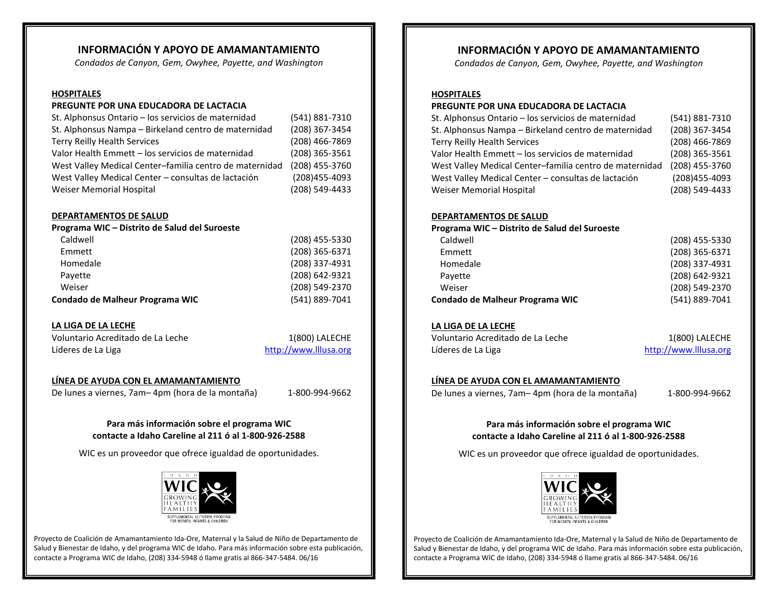## **INFORMACIÓN Y APOYO DE AMAMANTAMIENTO**

*Condados de Canyon, Gem, Owyhee, Payette, and Washington*

#### **HOSPITALES**

#### **PREGUNTE POR UNA EDUCADORA DE LACTACIA**

| (541) 881-7310 |
|----------------|
| (208) 367-3454 |
| (208) 466-7869 |
| (208) 365-3561 |
| (208) 455-3760 |
| (208) 455-4093 |
| (208) 549-4433 |
|                |

Payette (208) 642-9321

#### **DEPARTAMENTOS DE SALUD**

| Programa WIC - Distrito de Salud del Suroeste |                |
|-----------------------------------------------|----------------|
| Caldwell                                      | (208) 455-5330 |
| Emmett                                        | (208) 365-6371 |
| Homedale                                      | (208) 337-4931 |

| Weiser                          | (208) 549-2370 |
|---------------------------------|----------------|
| Condado de Malheur Programa WIC | (541) 889-7041 |

#### **LA LIGA DE LA LECHE**

| Voluntario Acreditado de La Leche |
|-----------------------------------|
| Líderes de La Liga                |

1(800) LALECHE [http://www.lllusa.org](http://www.lllusa.org/)

#### **LÍNEA DE AYUDA CON EL AMAMANTAMIENTO**

De lunes a viernes, 7am– 4pm (hora de la montaña) 1-800-994-9662

#### **Para más información sobre el programa WIC contacte a Idaho Careline al 211 ó al 1-800-926-2588**

WIC es un proveedor que ofrece igualdad de oportunidades.



Proyecto de Coalición de Amamantamiento Ida-Ore, Maternal y la Salud de Niño de Departamento de Salud y Bienestar de Idaho, y del programa WIC de Idaho. Para más información sobre esta publicación, contacte a Programa WIC de Idaho, (208) 334-5948 ó llame gratis al 866-347-5484. 06/16

## **INFORMACIÓN Y APOYO DE AMAMANTAMIENTO**

*Condados de Canyon, Gem, Owyhee, Payette, and Washington*

#### **HOSPITALES**

#### **PREGUNTE POR UNA EDUCADORA DE LACTACIA**

| St. Alphonsus Ontario - los servicios de maternidad     | (541) 881-7310 |
|---------------------------------------------------------|----------------|
| St. Alphonsus Nampa - Birkeland centro de maternidad    | (208) 367-3454 |
| <b>Terry Reilly Health Services</b>                     | (208) 466-7869 |
| Valor Health Emmett - los servicios de maternidad       | (208) 365-3561 |
| West Valley Medical Center-familia centro de maternidad | (208) 455-3760 |
| West Valley Medical Center - consultas de lactación     | (208)455-4093  |
| Weiser Memorial Hospital                                | (208) 549-4433 |
|                                                         |                |

#### **DEPARTAMENTOS DE SALUD**

**Programa WIC – Distrito de Salud del Suroeste**

| Caldwell                        | (208) 455-5330 |
|---------------------------------|----------------|
| Emmett                          | (208) 365-6371 |
| Homedale                        | (208) 337-4931 |
| Payette                         | (208) 642-9321 |
| Weiser                          | (208) 549-2370 |
| Condado de Malheur Programa WIC | (541) 889-7041 |
|                                 |                |

### **LA LIGA DE LA LECHE**

Voluntario Acreditado de La Leche 1(800) LALECHE Líderes de La Liga [http://www.lllusa.org](http://www.lllusa.org/)

#### **LÍNEA DE AYUDA CON EL AMAMANTAMIENTO**

De lunes a viernes, 7am– 4pm (hora de la montaña) 1-800-994-9662

#### **Para más información sobre el programa WIC contacte a Idaho Careline al 211 ó al 1-800-926-2588**

WIC es un proveedor que ofrece igualdad de oportunidades.



Proyecto de Coalición de Amamantamiento Ida-Ore, Maternal y la Salud de Niño de Departamento de Salud y Bienestar de Idaho, y del programa WIC de Idaho. Para más información sobre esta publicación, contacte a Programa WIC de Idaho, (208) 334-5948 ó llame gratis al 866-347-5484. 06/16